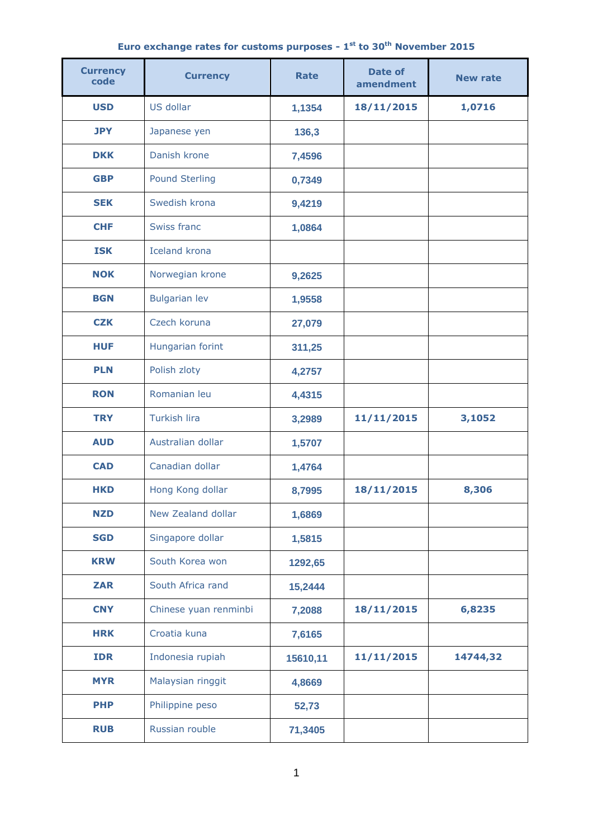|  |  |  |  |  |  |  |  | Euro exchange rates for customs purposes - $1^{st}$ to 30 <sup>th</sup> November 2015 |  |
|--|--|--|--|--|--|--|--|---------------------------------------------------------------------------------------|--|
|--|--|--|--|--|--|--|--|---------------------------------------------------------------------------------------|--|

| <b>Currency</b><br>code | <b>Currency</b>       | <b>Rate</b> | <b>Date of</b><br>amendment | <b>New rate</b> |  |
|-------------------------|-----------------------|-------------|-----------------------------|-----------------|--|
| <b>USD</b>              | US dollar             | 1,1354      | 18/11/2015                  | 1,0716          |  |
| <b>JPY</b>              | Japanese yen          | 136,3       |                             |                 |  |
| <b>DKK</b>              | Danish krone          | 7,4596      |                             |                 |  |
| <b>GBP</b>              | <b>Pound Sterling</b> | 0,7349      |                             |                 |  |
| <b>SEK</b>              | Swedish krona         | 9,4219      |                             |                 |  |
| <b>CHF</b>              | Swiss franc           | 1,0864      |                             |                 |  |
| <b>ISK</b>              | <b>Iceland krona</b>  |             |                             |                 |  |
| <b>NOK</b>              | Norwegian krone       | 9,2625      |                             |                 |  |
| <b>BGN</b>              | <b>Bulgarian lev</b>  | 1,9558      |                             |                 |  |
| <b>CZK</b>              | Czech koruna          | 27,079      |                             |                 |  |
| <b>HUF</b>              | Hungarian forint      | 311,25      |                             |                 |  |
| <b>PLN</b>              | Polish zloty          | 4,2757      |                             |                 |  |
| <b>RON</b>              | Romanian leu          | 4,4315      |                             |                 |  |
| <b>TRY</b>              | <b>Turkish lira</b>   | 3,2989      | 11/11/2015                  | 3,1052          |  |
| <b>AUD</b>              | Australian dollar     | 1,5707      |                             |                 |  |
| <b>CAD</b>              | Canadian dollar       | 1,4764      |                             |                 |  |
| HKD                     | Hong Kong dollar      | 8,7995      | 18/11/2015                  | 8,306           |  |
| <b>NZD</b>              | New Zealand dollar    | 1,6869      |                             |                 |  |
| <b>SGD</b>              | Singapore dollar      | 1,5815      |                             |                 |  |
| <b>KRW</b>              | South Korea won       | 1292,65     |                             |                 |  |
| <b>ZAR</b>              | South Africa rand     | 15,2444     |                             |                 |  |
| <b>CNY</b>              | Chinese yuan renminbi | 7,2088      | 18/11/2015                  | 6,8235          |  |
| <b>HRK</b>              | Croatia kuna          | 7,6165      |                             |                 |  |
| <b>IDR</b>              | Indonesia rupiah      | 15610,11    | 11/11/2015                  | 14744,32        |  |
| <b>MYR</b>              | Malaysian ringgit     | 4,8669      |                             |                 |  |
| <b>PHP</b>              | Philippine peso       | 52,73       |                             |                 |  |
| <b>RUB</b>              | Russian rouble        | 71,3405     |                             |                 |  |